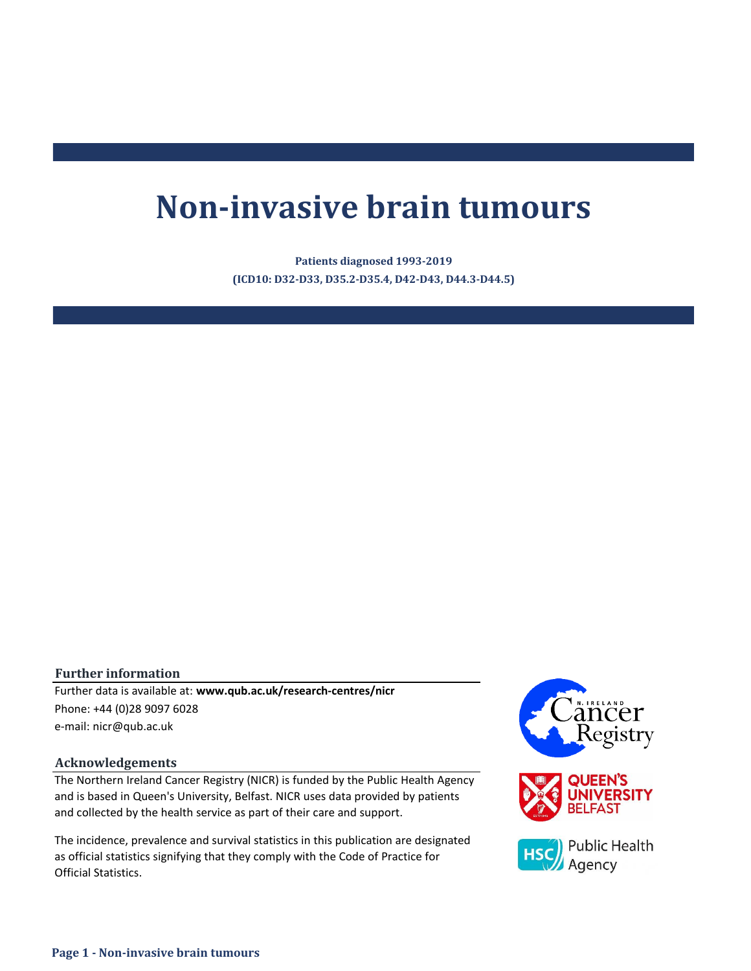# **Non-invasive brain tumours**

**(ICD10: D32-D33, D35.2-D35.4, D42-D43, D44.3-D44.5) Patients diagnosed 1993-2019**

#### **Further information**

e-mail: nicr@qub.ac.uk Further data is available at: **www.qub.ac.uk/research-centres/nicr** Phone: +44 (0)28 9097 6028

#### **Acknowledgements**

The Northern Ireland Cancer Registry (NICR) is funded by the Public Health Agency and is based in Queen's University, Belfast. NICR uses data provided by patients and collected by the health service as part of their care and support.

The incidence, prevalence and survival statistics in this publication are designated as official statistics signifying that they comply with the Code of Practice for Official Statistics.

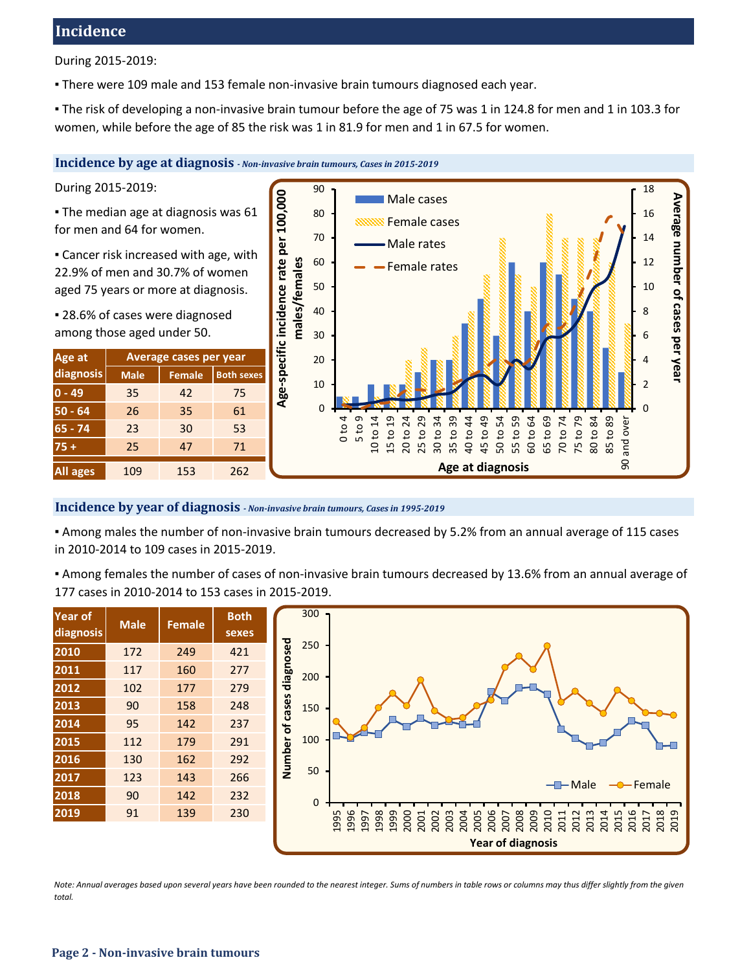# **Incidence**

During 2015-2019:

▪ There were 109 male and 153 female non-invasive brain tumours diagnosed each year.

▪ The risk of developing a non-invasive brain tumour before the age of 75 was 1 in 124.8 for men and 1 in 103.3 for women, while before the age of 85 the risk was 1 in 81.9 for men and 1 in 67.5 for women.

**Incidence by age at diagnosis** *- Non-invasive brain tumours, Cases in 2015-2019*

During 2015-2019:

**The median age at diagnosis was 61** for men and 64 for women.

**Example 2** Cancer risk increased with age, with 22.9% of men and 30.7% of women aged 75 years or more at diagnosis.

▪ 28.6% of cases were diagnosed among those aged under 50.

| Age at          | Average cases per year |               |                   |  |  |  |  |
|-----------------|------------------------|---------------|-------------------|--|--|--|--|
| diagnosis       | <b>Male</b>            | <b>Female</b> | <b>Both sexes</b> |  |  |  |  |
| $0 - 49$        | 35                     | 42            | 75                |  |  |  |  |
| $50 - 64$       | 26                     | 35            | 61                |  |  |  |  |
| $65 - 74$       | 23                     | 30            | 53                |  |  |  |  |
| $75+$           | 25                     | 47            | 71                |  |  |  |  |
| <b>All ages</b> | 109                    | 153           | 262               |  |  |  |  |



#### **Incidence by year of diagnosis** *- Non-invasive brain tumours, Cases in 1995-2019*

▪ Among males the number of non-invasive brain tumours decreased by 5.2% from an annual average of 115 cases in 2010-2014 to 109 cases in 2015-2019.

▪ Among females the number of cases of non-invasive brain tumours decreased by 13.6% from an annual average of 177 cases in 2010-2014 to 153 cases in 2015-2019.

| <b>Year of</b><br>diagnosis | <b>Male</b> | <b>Female</b> | <b>Both</b><br>sexes |  |  |
|-----------------------------|-------------|---------------|----------------------|--|--|
| 2010                        | 172         | 249           | 421                  |  |  |
| 2011                        | 117         | 160           | 277                  |  |  |
| 2012                        | 102         | 177           | 279                  |  |  |
| 2013                        | 90          | 158           | 248                  |  |  |
| 2014                        | 95          | 142           | 237                  |  |  |
| 2015                        | 112         | 179           | 291                  |  |  |
| 2016                        | 130         | 162           | 292                  |  |  |
| 2017                        | 123         | 143           | 266                  |  |  |
| 2018                        | 90          | 142           | 232                  |  |  |
| 2019                        | 91          | 139           | 230                  |  |  |
|                             |             |               |                      |  |  |



*Note: Annual averages based upon several years have been rounded to the nearest integer. Sums of numbers in table rows or columns may thus differ slightly from the given total.*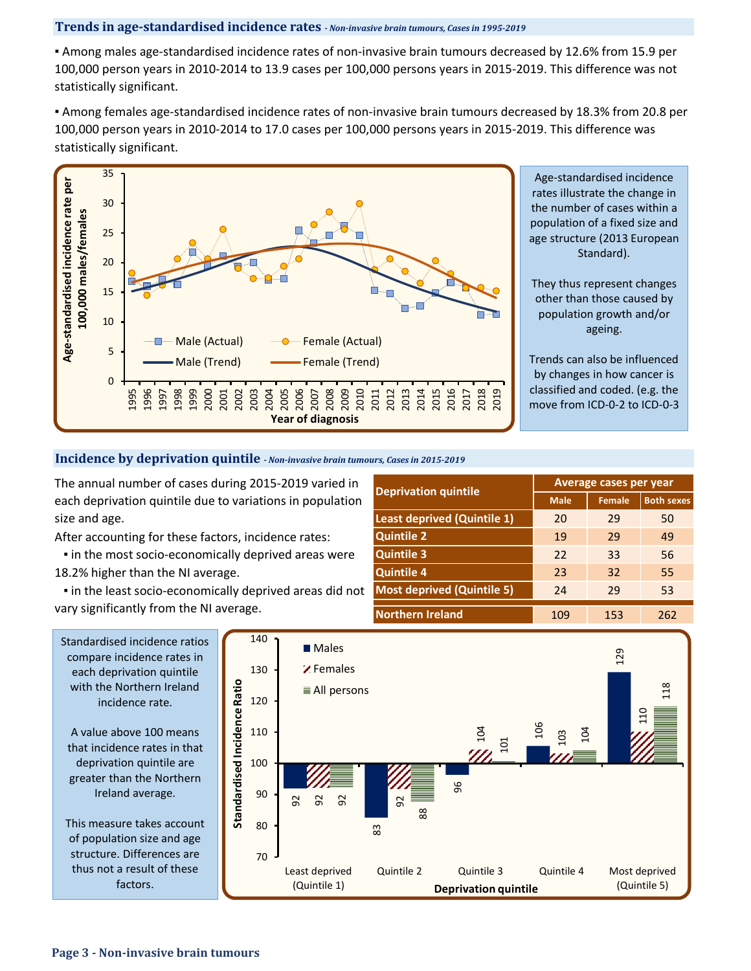#### **Trends in age-standardised incidence rates** *- Non-invasive brain tumours, Cases in 1995-2019*

▪ Among males age-standardised incidence rates of non-invasive brain tumours decreased by 12.6% from 15.9 per 100,000 person years in 2010-2014 to 13.9 cases per 100,000 persons years in 2015-2019. This difference was not statistically significant.

▪ Among females age-standardised incidence rates of non-invasive brain tumours decreased by 18.3% from 20.8 per 100,000 person years in 2010-2014 to 17.0 cases per 100,000 persons years in 2015-2019. This difference was statistically significant.



**Incidence by deprivation quintile** *- Non-invasive brain tumours, Cases in 2015-2019*

The annual number of cases during 2015-2019 varied in each deprivation quintile due to variations in population size and age.

After accounting for these factors, incidence rates:

**.** in the most socio-economically deprived areas were 18.2% higher than the NI average.

 ▪ in the least socio-economically deprived areas did not vary significantly from the NI average.

| <b>Deprivation quintile</b>        | Average cases per year |               |                   |  |  |  |
|------------------------------------|------------------------|---------------|-------------------|--|--|--|
|                                    | <b>Male</b>            | <b>Female</b> | <b>Both sexes</b> |  |  |  |
| <b>Least deprived (Quintile 1)</b> | 20                     | 29            | 50                |  |  |  |
| <b>Quintile 2</b>                  | 19                     | 29            | 49                |  |  |  |
| <b>Quintile 3</b>                  | 22                     | 33            | 56                |  |  |  |
| <b>Quintile 4</b>                  | 23                     | 32            | 55                |  |  |  |
| <b>Most deprived (Quintile 5)</b>  | 24                     | 29            | 53                |  |  |  |
| <b>Northern Ireland</b>            | 109                    | 153           | 262               |  |  |  |



A value above 100 means that incidence rates in that deprivation quintile are greater than the Northern Ireland average.

This measure takes account of population size and age structure. Differences are thus not a result of these factors.

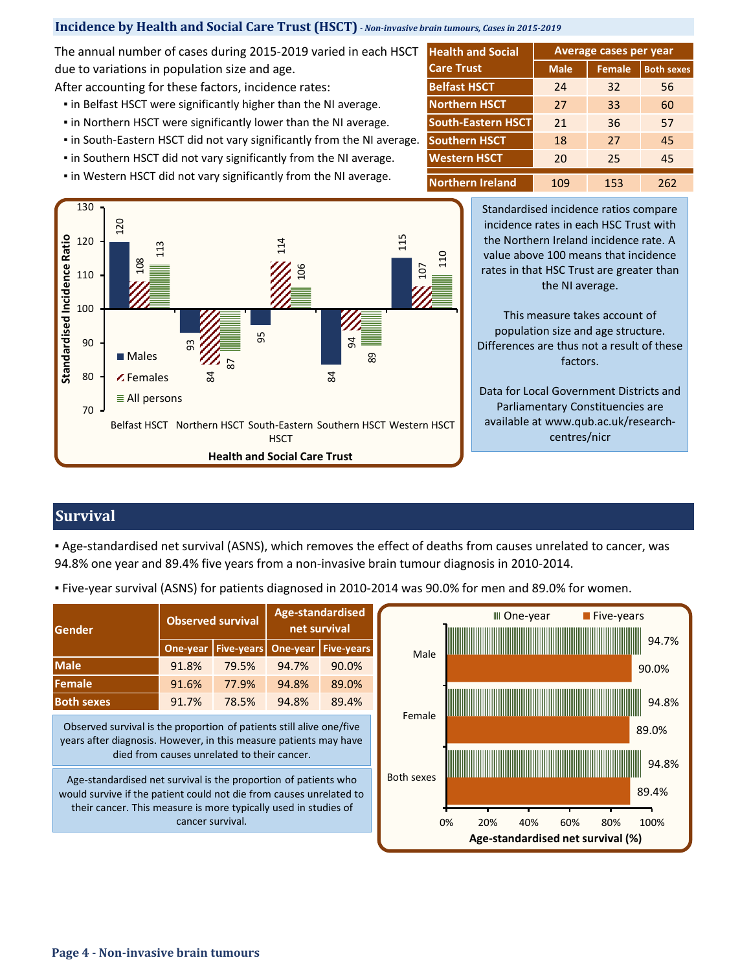### **Incidence by Health and Social Care Trust (HSCT)** *- Non-invasive brain tumours, Cases in 2015-2019*

The annual number of cases during 2015-2019 varied in each HSCT due to variations in population size and age.

After accounting for these factors, incidence rates:

- **.** in Belfast HSCT were significantly higher than the NI average.
- **.** in Northern HSCT were significantly lower than the NI average.
- in South-Eastern HSCT did not vary significantly from the NI average.
- **.** in Southern HSCT did not vary significantly from the NI average.
- **.** in Western HSCT did not vary significantly from the NI average.

| <b>Health and Social</b>  | Average cases per year |               |                   |  |  |  |
|---------------------------|------------------------|---------------|-------------------|--|--|--|
| <b>Care Trust</b>         | <b>Male</b>            | <b>Female</b> | <b>Both sexes</b> |  |  |  |
| <b>Belfast HSCT</b>       | 24                     | 32            | 56                |  |  |  |
| <b>Northern HSCT</b>      | 27                     | 33            | 60                |  |  |  |
| <b>South-Eastern HSCT</b> | 21                     | 36            | 57                |  |  |  |
| <b>Southern HSCT</b>      | 18                     | 27            | 45                |  |  |  |
| <b>Western HSCT</b>       | 20                     | 25            | 45                |  |  |  |
| <b>Northern Ireland</b>   | 109                    | 153           | 262               |  |  |  |

130 120 Standardised Incidence Ratio **Standardised Incidence Ratio** 120 115 114 ี่<br>113 110 108 107 106 110 100  $\mathbb{Z}/\mathbb{Z}$   $\mathbb{Z}$   $\mathbb{Z}$ 94 90 **Males** 89 87 80 84 84 Females All persons 70 Belfast HSCT Northern HSCT South-Eastern Southern HSCT Western HSCT **HSCT Health and Social Care Trust**

Standardised incidence ratios compare incidence rates in each HSC Trust with the Northern Ireland incidence rate. A value above 100 means that incidence rates in that HSC Trust are greater than the NI average.

This measure takes account of population size and age structure. Differences are thus not a result of these factors.

Data for Local Government Districts and Parliamentary Constituencies are available at www.qub.ac.uk/researchcentres/nicr

# **Survival**

▪ Age-standardised net survival (ASNS), which removes the effect of deaths from causes unrelated to cancer, was 94.8% one year and 89.4% five years from a non-invasive brain tumour diagnosis in 2010-2014.

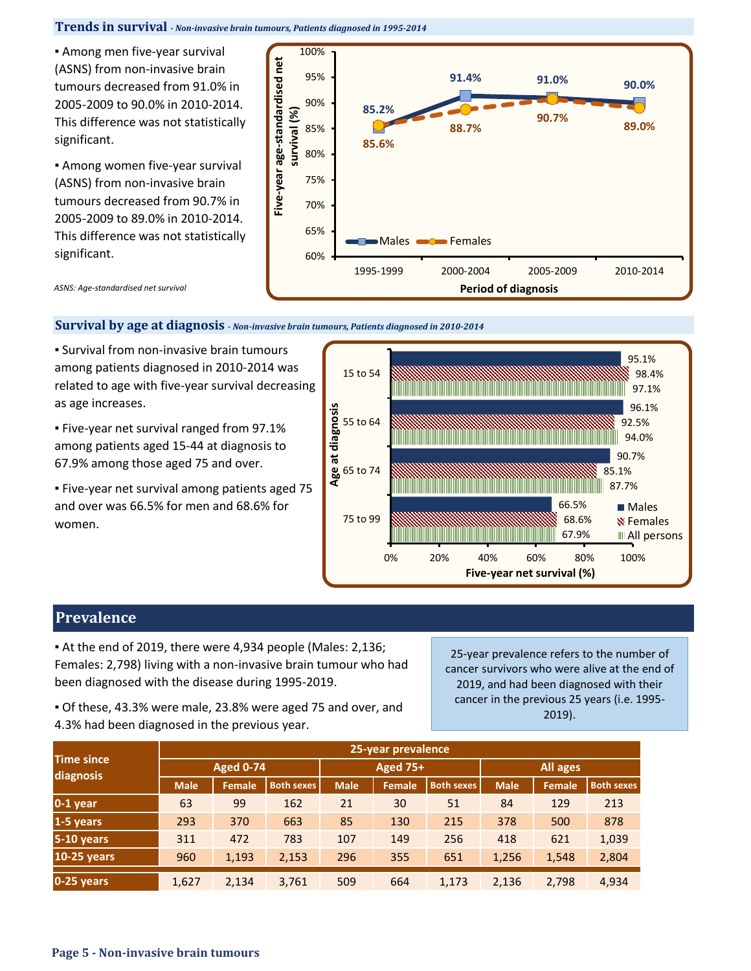#### **Trends in survival** *- Non-invasive brain tumours, Patients diagnosed in 1995-2014*

**EXECT:** Among men five-year survival (ASNS) from non-invasive brain tumours decreased from 91.0% in 2005-2009 to 90.0% in 2010-2014. This difference was not statistically significant.

**EXECT:** Among women five-year survival (ASNS) from non-invasive brain tumours decreased from 90.7% in 2005-2009 to 89.0% in 2010-2014. This difference was not statistically significant.



*ASNS: Age-standardised net survival*

#### **Survival by age at diagnosis** *- Non-invasive brain tumours, Patients diagnosed in 2010-2014*

**.** Survival from non-invasive brain tumours among patients diagnosed in 2010-2014 was related to age with five-year survival decreasing as age increases.

▪ Five-year net survival ranged from 97.1% among patients aged 15-44 at diagnosis to 67.9% among those aged 75 and over.

▪ Five-year net survival among patients aged 75 and over was 66.5% for men and 68.6% for women.



## **Prevalence**

▪ At the end of 2019, there were 4,934 people (Males: 2,136; Females: 2,798) living with a non-invasive brain tumour who had been diagnosed with the disease during 1995-2019.

25-year prevalence refers to the number of cancer survivors who were alive at the end of 2019, and had been diagnosed with their cancer in the previous 25 years (i.e. 1995- 2019).

▪ Of these, 43.3% were male, 23.8% were aged 75 and over, and 4.3% had been diagnosed in the previous year.

| <b>Time since</b> | 25-year prevalence |        |                   |             |                 |                   |             |               |                   |
|-------------------|--------------------|--------|-------------------|-------------|-----------------|-------------------|-------------|---------------|-------------------|
| diagnosis         | <b>Aged 0-74</b>   |        |                   |             | <b>Aged 75+</b> |                   | All ages    |               |                   |
|                   | <b>Male</b>        | Female | <b>Both sexes</b> | <b>Male</b> | Female          | <b>Both sexes</b> | <b>Male</b> | <b>Female</b> | <b>Both sexes</b> |
| $0-1$ year        | 63                 | 99     | 162               | 21          | 30              | 51                | 84          | 129           | 213               |
| 1-5 years         | 293                | 370    | 663               | 85          | 130             | 215               | 378         | 500           | 878               |
| $5-10$ years      | 311                | 472    | 783               | 107         | 149             | 256               | 418         | 621           | 1,039             |
| 10-25 years       | 960                | 1,193  | 2,153             | 296         | 355             | 651               | 1,256       | 1,548         | 2,804             |
| $0-25$ years      | 1,627              | 2,134  | 3,761             | 509         | 664             | 1,173             | 2,136       | 2,798         | 4,934             |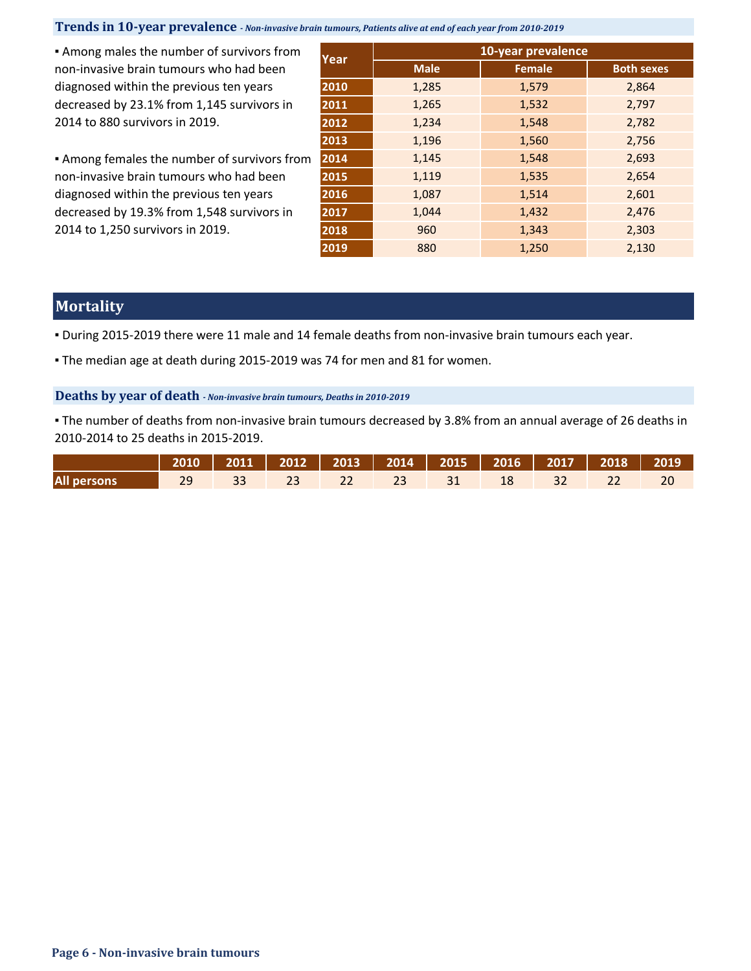## **Trends in 10-year prevalence** *- Non-invasive brain tumours, Patients alive at end of each year from 2010-2019*

**EXECT** Among males the number of survivors from non-invasive brain tumours who had been diagnosed within the previous ten years decreased by 23.1% from 1,145 survivors in 2014 to 880 survivors in 2019.

**.** Among females the number of survivors from non-invasive brain tumours who had been diagnosed within the previous ten years decreased by 19.3% from 1,548 survivors in 2014 to 1,250 survivors in 2019.

|      | 10-year prevalence |               |                   |  |  |  |  |
|------|--------------------|---------------|-------------------|--|--|--|--|
| Year | <b>Male</b>        | <b>Female</b> | <b>Both sexes</b> |  |  |  |  |
| 2010 | 1,285              | 1,579         | 2,864             |  |  |  |  |
| 2011 | 1,265              | 1,532         | 2,797             |  |  |  |  |
| 2012 | 1,234              | 1,548         | 2,782             |  |  |  |  |
| 2013 | 1,196              | 1,560         | 2,756             |  |  |  |  |
| 2014 | 1,145              | 1,548         | 2,693             |  |  |  |  |
| 2015 | 1,119              | 1,535         | 2,654             |  |  |  |  |
| 2016 | 1,087              | 1,514         | 2,601             |  |  |  |  |
| 2017 | 1,044              | 1,432         | 2,476             |  |  |  |  |
| 2018 | 960                | 1,343         | 2,303             |  |  |  |  |
| 2019 | 880                | 1,250         | 2,130             |  |  |  |  |

# **Mortality**

▪ During 2015-2019 there were 11 male and 14 female deaths from non-invasive brain tumours each year.

• The median age at death during 2015-2019 was 74 for men and 81 for women.

#### **Deaths by year of death** *- Non-invasive brain tumours, Deaths in 2010-2019*

▪ The number of deaths from non-invasive brain tumours decreased by 3.8% from an annual average of 26 deaths in 2010-2014 to 25 deaths in 2015-2019.

|                                           | 2010   2011   2012   2013   2014   2015   2016   2017   2018   2019 |  |  |  |  |  |
|-------------------------------------------|---------------------------------------------------------------------|--|--|--|--|--|
| All persons 29 33 23 22 23 31 18 32 22 20 |                                                                     |  |  |  |  |  |